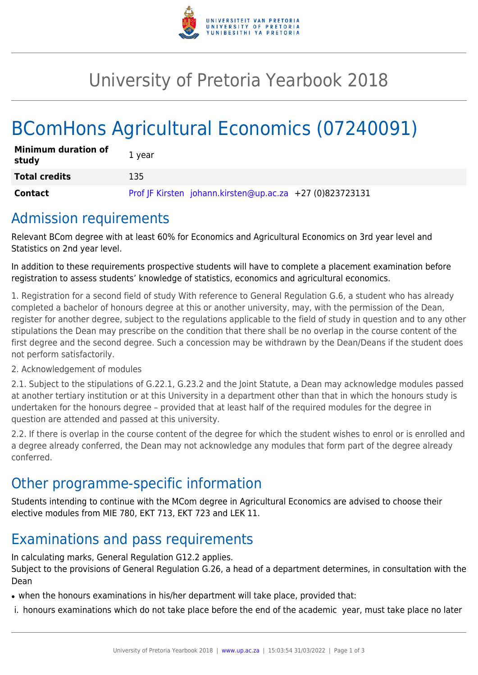

## University of Pretoria Yearbook 2018

# BComHons Agricultural Economics (07240091)

| <b>Minimum duration of</b><br>study | 1 year                                                   |
|-------------------------------------|----------------------------------------------------------|
| <b>Total credits</b>                | 135                                                      |
| Contact                             | Prof JF Kirsten johann.kirsten@up.ac.za +27 (0)823723131 |

### Admission requirements

Relevant BCom degree with at least 60% for Economics and Agricultural Economics on 3rd year level and Statistics on 2nd year level.

In addition to these requirements prospective students will have to complete a placement examination before registration to assess students' knowledge of statistics, economics and agricultural economics.

1. Registration for a second field of study With reference to General Regulation G.6, a student who has already completed a bachelor of honours degree at this or another university, may, with the permission of the Dean, register for another degree, subject to the regulations applicable to the field of study in question and to any other stipulations the Dean may prescribe on the condition that there shall be no overlap in the course content of the first degree and the second degree. Such a concession may be withdrawn by the Dean/Deans if the student does not perform satisfactorily.

#### 2. Acknowledgement of modules

2.1. Subject to the stipulations of G.22.1, G.23.2 and the Joint Statute, a Dean may acknowledge modules passed at another tertiary institution or at this University in a department other than that in which the honours study is undertaken for the honours degree – provided that at least half of the required modules for the degree in question are attended and passed at this university.

2.2. If there is overlap in the course content of the degree for which the student wishes to enrol or is enrolled and a degree already conferred, the Dean may not acknowledge any modules that form part of the degree already conferred.

### Other programme-specific information

Students intending to continue with the MCom degree in Agricultural Economics are advised to choose their elective modules from MIE 780, EKT 713, EKT 723 and LEK 11.

### Examinations and pass requirements

In calculating marks, General Regulation G12.2 applies. Subject to the provisions of General Regulation G.26, a head of a department determines, in consultation with the Dean

• when the honours examinations in his/her department will take place, provided that:

i. honours examinations which do not take place before the end of the academic year, must take place no later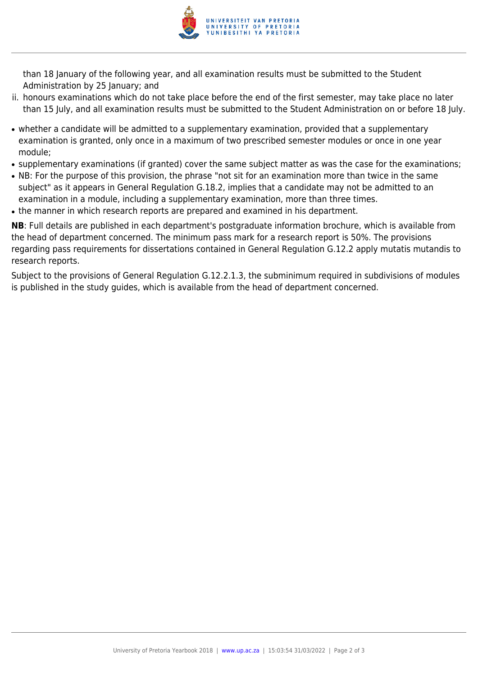

than 18 January of the following year, and all examination results must be submitted to the Student Administration by 25 January; and

- ii. honours examinations which do not take place before the end of the first semester, may take place no later than 15 July, and all examination results must be submitted to the Student Administration on or before 18 July.
- whether a candidate will be admitted to a supplementary examination, provided that a supplementary examination is granted, only once in a maximum of two prescribed semester modules or once in one year module;
- supplementary examinations (if granted) cover the same subject matter as was the case for the examinations;
- NB: For the purpose of this provision, the phrase "not sit for an examination more than twice in the same subject" as it appears in General Regulation G.18.2, implies that a candidate may not be admitted to an examination in a module, including a supplementary examination, more than three times.
- the manner in which research reports are prepared and examined in his department.

**NB**: Full details are published in each department's postgraduate information brochure, which is available from the head of department concerned. The minimum pass mark for a research report is 50%. The provisions regarding pass requirements for dissertations contained in General Regulation G.12.2 apply mutatis mutandis to research reports.

Subject to the provisions of General Regulation G.12.2.1.3, the subminimum required in subdivisions of modules is published in the study guides, which is available from the head of department concerned.